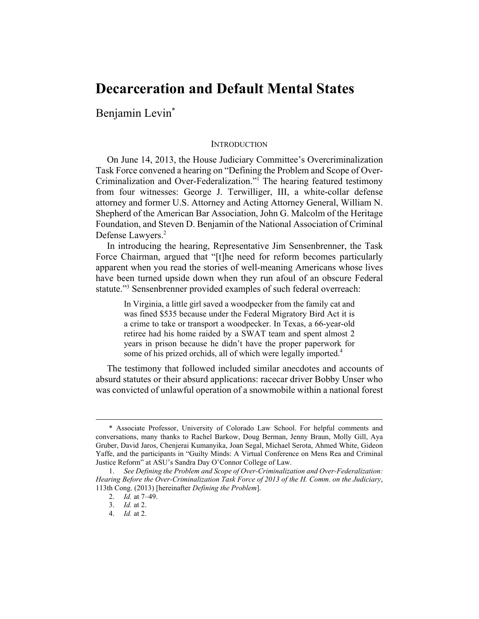# **Decarceration and Default Mental States**

Benjamin Levin\*

## **INTRODUCTION**

On June 14, 2013, the House Judiciary Committee's Overcriminalization Task Force convened a hearing on "Defining the Problem and Scope of Over-Criminalization and Over-Federalization."1 The hearing featured testimony from four witnesses: George J. Terwilliger, III, a white-collar defense attorney and former U.S. Attorney and Acting Attorney General, William N. Shepherd of the American Bar Association, John G. Malcolm of the Heritage Foundation, and Steven D. Benjamin of the National Association of Criminal Defense Lawyers.<sup>2</sup>

In introducing the hearing, Representative Jim Sensenbrenner, the Task Force Chairman, argued that "[t]he need for reform becomes particularly apparent when you read the stories of well-meaning Americans whose lives have been turned upside down when they run afoul of an obscure Federal statute."<sup>3</sup> Sensenbrenner provided examples of such federal overreach:

In Virginia, a little girl saved a woodpecker from the family cat and was fined \$535 because under the Federal Migratory Bird Act it is a crime to take or transport a woodpecker. In Texas, a 66-year-old retiree had his home raided by a SWAT team and spent almost 2 years in prison because he didn't have the proper paperwork for some of his prized orchids, all of which were legally imported.<sup>4</sup>

The testimony that followed included similar anecdotes and accounts of absurd statutes or their absurd applications: racecar driver Bobby Unser who was convicted of unlawful operation of a snowmobile within a national forest

<sup>\*</sup> Associate Professor, University of Colorado Law School. For helpful comments and conversations, many thanks to Rachel Barkow, Doug Berman, Jenny Braun, Molly Gill, Aya Gruber, David Jaros, Chenjerai Kumanyika, Joan Segal, Michael Serota, Ahmed White, Gideon Yaffe, and the participants in "Guilty Minds: A Virtual Conference on Mens Rea and Criminal Justice Reform" at ASU's Sandra Day O'Connor College of Law.

<sup>1.</sup> *See Defining the Problem and Scope of Over-Criminalization and Over-Federalization: Hearing Before the Over-Criminalization Task Force of 2013 of the H. Comm. on the Judiciary*, 113th Cong. (2013) [hereinafter *Defining the Problem*].

<sup>2.</sup> *Id.* at 7–49.

<sup>3.</sup> *Id.* at 2.

<sup>4.</sup> *Id.* at 2.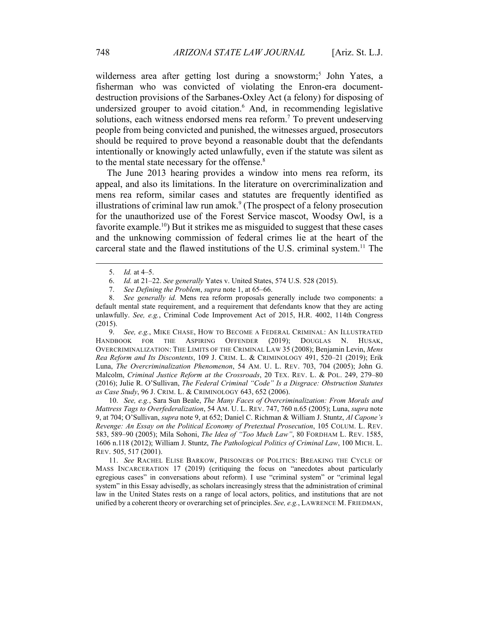wilderness area after getting lost during a snowstorm;<sup>5</sup> John Yates, a fisherman who was convicted of violating the Enron-era documentdestruction provisions of the Sarbanes-Oxley Act (a felony) for disposing of undersized grouper to avoid citation.<sup>6</sup> And, in recommending legislative solutions, each witness endorsed mens rea reform.<sup>7</sup> To prevent undeserving people from being convicted and punished, the witnesses argued, prosecutors should be required to prove beyond a reasonable doubt that the defendants intentionally or knowingly acted unlawfully, even if the statute was silent as to the mental state necessary for the offense.<sup>8</sup>

The June 2013 hearing provides a window into mens rea reform, its appeal, and also its limitations. In the literature on overcriminalization and mens rea reform, similar cases and statutes are frequently identified as illustrations of criminal law run amok.<sup>9</sup> (The prospect of a felony prosecution for the unauthorized use of the Forest Service mascot, Woodsy Owl, is a favorite example.<sup>10</sup>) But it strikes me as misguided to suggest that these cases and the unknowing commission of federal crimes lie at the heart of the carceral state and the flawed institutions of the U.S. criminal system.<sup>11</sup> The

9. *See, e.g.*, MIKE CHASE, HOW TO BECOME A FEDERAL CRIMINAL: AN ILLUSTRATED HANDBOOK FOR THE ASPIRING OFFENDER (2019); DOUGLAS N. HUSAK, OVERCRIMINALIZATION: THE LIMITS OF THE CRIMINAL LAW 35 (2008); Benjamin Levin, *Mens Rea Reform and Its Discontents*, 109 J. CRIM. L. & CRIMINOLOGY 491, 520–21 (2019); Erik Luna, *The Overcriminalization Phenomenon*, 54 AM. U. L. REV. 703, 704 (2005); John G. Malcolm, *Criminal Justice Reform at the Crossroads*, 20 TEX. REV. L. & POL. 249, 279–80 (2016); Julie R. O'Sullivan, *The Federal Criminal "Code" Is a Disgrace: Obstruction Statutes as Case Study*, 96 J. CRIM. L. & CRIMINOLOGY 643, 652 (2006).

10. *See, e.g.*, Sara Sun Beale, *The Many Faces of Overcriminalization: From Morals and Mattress Tags to Overfederalization*, 54 AM. U. L. REV. 747, 760 n.65 (2005); Luna, *supra* note 9, at 704; O'Sullivan, *supra* note 9, at 652; Daniel C. Richman & William J. Stuntz, *Al Capone's Revenge: An Essay on the Political Economy of Pretextual Prosecution*, 105 COLUM. L. REV. 583, 589–90 (2005); Mila Sohoni, *The Idea of "Too Much Law"*, 80 FORDHAM L. REV. 1585, 1606 n.118 (2012); William J. Stuntz, *The Pathological Politics of Criminal Law*, 100 MICH. L. REV. 505, 517 (2001).

11. *See* RACHEL ELISE BARKOW, PRISONERS OF POLITICS: BREAKING THE CYCLE OF MASS INCARCERATION 17 (2019) (critiquing the focus on "anecdotes about particularly egregious cases" in conversations about reform). I use "criminal system" or "criminal legal system" in this Essay advisedly, as scholars increasingly stress that the administration of criminal law in the United States rests on a range of local actors, politics, and institutions that are not unified by a coherent theory or overarching set of principles. *See, e.g.*, LAWRENCE M. FRIEDMAN,

<sup>5.</sup> *Id.* at 4–5.

<sup>6.</sup> *Id.* at 21–22. *See generally* Yates v. United States, 574 U.S. 528 (2015).

<sup>7.</sup> *See Defining the Problem*, *supra* note 1, at 65–66.

<sup>8.</sup> *See generally id.* Mens rea reform proposals generally include two components: a default mental state requirement, and a requirement that defendants know that they are acting unlawfully. *See, e.g.*, Criminal Code Improvement Act of 2015, H.R. 4002, 114th Congress (2015).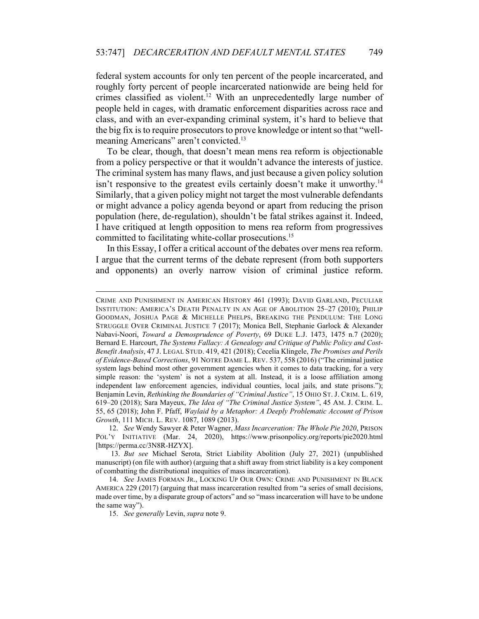federal system accounts for only ten percent of the people incarcerated, and roughly forty percent of people incarcerated nationwide are being held for crimes classified as violent.12 With an unprecedentedly large number of people held in cages, with dramatic enforcement disparities across race and class, and with an ever-expanding criminal system, it's hard to believe that the big fix is to require prosecutors to prove knowledge or intent so that "wellmeaning Americans" aren't convicted.<sup>13</sup>

To be clear, though, that doesn't mean mens rea reform is objectionable from a policy perspective or that it wouldn't advance the interests of justice. The criminal system has many flaws, and just because a given policy solution isn't responsive to the greatest evils certainly doesn't make it unworthy.<sup>14</sup> Similarly, that a given policy might not target the most vulnerable defendants or might advance a policy agenda beyond or apart from reducing the prison population (here, de-regulation), shouldn't be fatal strikes against it. Indeed, I have critiqued at length opposition to mens rea reform from progressives committed to facilitating white-collar prosecutions.15

In this Essay, I offer a critical account of the debates over mens rea reform. I argue that the current terms of the debate represent (from both supporters and opponents) an overly narrow vision of criminal justice reform.

CRIME AND PUNISHMENT IN AMERICAN HISTORY 461 (1993); DAVID GARLAND, PECULIAR INSTITUTION: AMERICA'S DEATH PENALTY IN AN AGE OF ABOLITION 25–27 (2010); PHILIP GOODMAN, JOSHUA PAGE & MICHELLE PHELPS, BREAKING THE PENDULUM: THE LONG STRUGGLE OVER CRIMINAL JUSTICE 7 (2017); Monica Bell, Stephanie Garlock & Alexander Nabavi-Noori, *Toward a Demosprudence of Poverty*, 69 DUKE L.J. 1473, 1475 n.7 (2020); Bernard E. Harcourt, *The Systems Fallacy: A Genealogy and Critique of Public Policy and Cost-Benefit Analysis*, 47 J. LEGAL STUD. 419, 421 (2018); Cecelia Klingele, *The Promises and Perils of Evidence-Based Corrections*, 91 NOTRE DAME L. REV. 537, 558 (2016) ("The criminal justice system lags behind most other government agencies when it comes to data tracking, for a very simple reason: the 'system' is not a system at all. Instead, it is a loose affiliation among independent law enforcement agencies, individual counties, local jails, and state prisons."); Benjamin Levin, *Rethinking the Boundaries of "Criminal Justice"*, 15 OHIO ST. J. CRIM. L. 619, 619–20 (2018); Sara Mayeux, *The Idea of "The Criminal Justice System"*, 45 AM. J. CRIM. L. 55, 65 (2018); John F. Pfaff, *Waylaid by a Metaphor: A Deeply Problematic Account of Prison Growth*, 111 MICH. L. REV. 1087, 1089 (2013).

<sup>12.</sup> *See* Wendy Sawyer & Peter Wagner, *Mass Incarceration: The Whole Pie 2020*, PRISON POL'Y INITIATIVE (Mar. 24, 2020), https://www.prisonpolicy.org/reports/pie2020.html [https://perma.cc/3N8R-HZYX].

 <sup>13.</sup> *But see* Michael Serota, Strict Liability Abolition (July 27, 2021) (unpublished manuscript) (on file with author) (arguing that a shift away from strict liability is a key component of combatting the distributional inequities of mass incarceration).

<sup>14.</sup> *See* JAMES FORMAN JR., LOCKING UP OUR OWN: CRIME AND PUNISHMENT IN BLACK AMERICA 229 (2017) (arguing that mass incarceration resulted from "a series of small decisions, made over time, by a disparate group of actors" and so "mass incarceration will have to be undone the same way").

<sup>15.</sup> *See generally* Levin, *supra* note 9.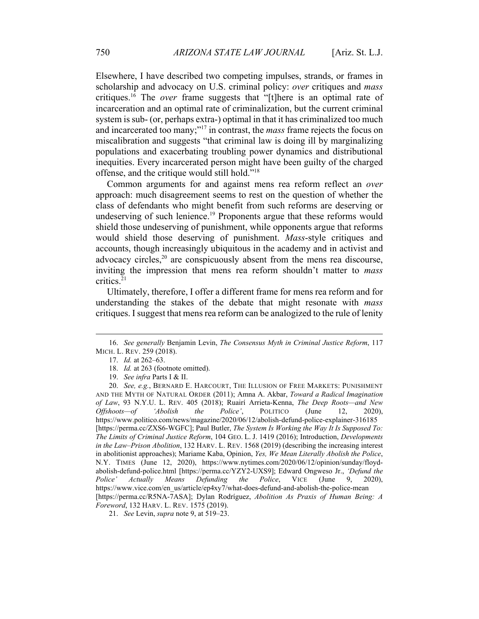Elsewhere, I have described two competing impulses, strands, or frames in scholarship and advocacy on U.S. criminal policy: *over* critiques and *mass*  critiques.16 The *over* frame suggests that "[t]here is an optimal rate of incarceration and an optimal rate of criminalization, but the current criminal system is sub- (or, perhaps extra-) optimal in that it has criminalized too much and incarcerated too many;"17 in contrast, the *mass* frame rejects the focus on miscalibration and suggests "that criminal law is doing ill by marginalizing populations and exacerbating troubling power dynamics and distributional inequities. Every incarcerated person might have been guilty of the charged offense, and the critique would still hold."18

Common arguments for and against mens rea reform reflect an *over* approach: much disagreement seems to rest on the question of whether the class of defendants who might benefit from such reforms are deserving or undeserving of such lenience.<sup>19</sup> Proponents argue that these reforms would shield those undeserving of punishment, while opponents argue that reforms would shield those deserving of punishment. *Mass*-style critiques and accounts, though increasingly ubiquitous in the academy and in activist and advocacy circles, $2^0$  are conspicuously absent from the mens rea discourse, inviting the impression that mens rea reform shouldn't matter to *mass* critics.<sup>21</sup>

Ultimately, therefore, I offer a different frame for mens rea reform and for understanding the stakes of the debate that might resonate with *mass*  critiques. I suggest that mens rea reform can be analogized to the rule of lenity

<sup>16.</sup> *See generally* Benjamin Levin, *The Consensus Myth in Criminal Justice Reform*, 117 MICH. L. REV. 259 (2018).

<sup>17.</sup> *Id.* at 262–63.

<sup>18.</sup> *Id.* at 263 (footnote omitted).

<sup>19.</sup> *See infra* Parts I & II.

<sup>20.</sup> *See, e.g.*, BERNARD E. HARCOURT, THE ILLUSION OF FREE MARKETS: PUNISHMENT AND THE MYTH OF NATURAL ORDER (2011); Amna A. Akbar, *Toward a Radical Imagination of Law*, 93 N.Y.U. L. REV. 405 (2018); Ruairí Arrieta-Kenna, *The Deep Roots—and New Offshoots—of 'Abolish the Police'*, POLITICO (June 12, 2020), https://www.politico.com/news/magazine/2020/06/12/abolish-defund-police-explainer-316185 [https://perma.cc/ZXS6-WGFC]; Paul Butler, *The System Is Working the Way It Is Supposed To: The Limits of Criminal Justice Reform*, 104 GEO. L. J. 1419 (2016); Introduction, *Developments in the Law–Prison Abolition*, 132 HARV. L. REV. 1568 (2019) (describing the increasing interest in abolitionist approaches); Mariame Kaba, Opinion, *Yes, We Mean Literally Abolish the Police*, N.Y. TIMES (June 12, 2020), https://www.nytimes.com/2020/06/12/opinion/sunday/floydabolish-defund-police.html [https://perma.cc/YZY2-UXS9]; Edward Ongweso Jr., *'Defund the Police' Actually Means Defunding the Police*, VICE (June 9, 2020), https://www.vice.com/en\_us/article/ep4xy7/what-does-defund-and-abolish-the-police-mean [https://perma.cc/R5NA-7ASA]; Dylan Rodríguez, *Abolition As Praxis of Human Being: A Foreword*, 132 HARV. L. REV. 1575 (2019).

<sup>21.</sup> *See* Levin, *supra* note 9, at 519–23.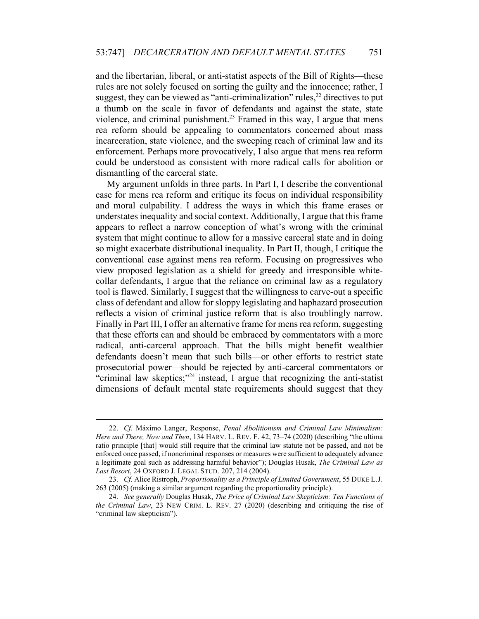and the libertarian, liberal, or anti-statist aspects of the Bill of Rights—these rules are not solely focused on sorting the guilty and the innocence; rather, I suggest, they can be viewed as "anti-criminalization" rules,  $^{22}$  directives to put a thumb on the scale in favor of defendants and against the state, state violence, and criminal punishment.<sup>23</sup> Framed in this way, I argue that mens rea reform should be appealing to commentators concerned about mass incarceration, state violence, and the sweeping reach of criminal law and its enforcement. Perhaps more provocatively, I also argue that mens rea reform could be understood as consistent with more radical calls for abolition or dismantling of the carceral state.

My argument unfolds in three parts. In Part I, I describe the conventional case for mens rea reform and critique its focus on individual responsibility and moral culpability. I address the ways in which this frame erases or understates inequality and social context. Additionally, I argue that this frame appears to reflect a narrow conception of what's wrong with the criminal system that might continue to allow for a massive carceral state and in doing so might exacerbate distributional inequality. In Part II, though, I critique the conventional case against mens rea reform. Focusing on progressives who view proposed legislation as a shield for greedy and irresponsible whitecollar defendants, I argue that the reliance on criminal law as a regulatory tool is flawed. Similarly, I suggest that the willingness to carve-out a specific class of defendant and allow for sloppy legislating and haphazard prosecution reflects a vision of criminal justice reform that is also troublingly narrow. Finally in Part III, I offer an alternative frame for mens rea reform, suggesting that these efforts can and should be embraced by commentators with a more radical, anti-carceral approach. That the bills might benefit wealthier defendants doesn't mean that such bills—or other efforts to restrict state prosecutorial power—should be rejected by anti-carceral commentators or "criminal law skeptics;"24 instead, I argue that recognizing the anti-statist dimensions of default mental state requirements should suggest that they

<sup>22.</sup> *Cf.* Máximo Langer, Response, *Penal Abolitionism and Criminal Law Minimalism: Here and There, Now and Then*, 134 HARV. L. REV. F. 42, 73–74 (2020) (describing "the ultima ratio principle [that] would still require that the criminal law statute not be passed, and not be enforced once passed, if noncriminal responses or measures were sufficient to adequately advance a legitimate goal such as addressing harmful behavior"); Douglas Husak, *The Criminal Law as Last Resort*, 24 OXFORD J. LEGAL STUD. 207, 214 (2004).

<sup>23.</sup> *Cf.* Alice Ristroph, *Proportionality as a Principle of Limited Government*, 55 DUKE L.J. 263 (2005) (making a similar argument regarding the proportionality principle).

<sup>24.</sup> *See generally* Douglas Husak, *The Price of Criminal Law Skepticism: Ten Functions of the Criminal Law*, 23 NEW CRIM. L. REV. 27 (2020) (describing and critiquing the rise of "criminal law skepticism").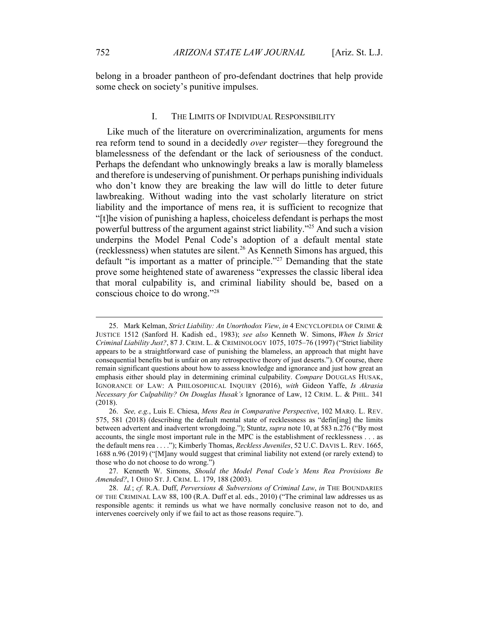belong in a broader pantheon of pro-defendant doctrines that help provide some check on society's punitive impulses.

## I. THE LIMITS OF INDIVIDUAL RESPONSIBILITY

Like much of the literature on overcriminalization, arguments for mens rea reform tend to sound in a decidedly *over* register—they foreground the blamelessness of the defendant or the lack of seriousness of the conduct. Perhaps the defendant who unknowingly breaks a law is morally blameless and therefore is undeserving of punishment. Or perhaps punishing individuals who don't know they are breaking the law will do little to deter future lawbreaking. Without wading into the vast scholarly literature on strict liability and the importance of mens rea, it is sufficient to recognize that "[t]he vision of punishing a hapless, choiceless defendant is perhaps the most powerful buttress of the argument against strict liability."25 And such a vision underpins the Model Penal Code's adoption of a default mental state (recklessness) when statutes are silent.<sup>26</sup> As Kenneth Simons has argued, this default "is important as a matter of principle."27 Demanding that the state prove some heightened state of awareness "expresses the classic liberal idea that moral culpability is, and criminal liability should be, based on a conscious choice to do wrong."28

<sup>25.</sup> Mark Kelman, *Strict Liability: An Unorthodox View*, *in* 4 ENCYCLOPEDIA OF CRIME & JUSTICE 1512 (Sanford H. Kadish ed., 1983); *see also* Kenneth W. Simons, *When Is Strict Criminal Liability Just?*, 87 J. CRIM. L. & CRIMINOLOGY 1075, 1075–76 (1997) ("Strict liability appears to be a straightforward case of punishing the blameless, an approach that might have consequential benefits but is unfair on any retrospective theory of just deserts."). Of course, there remain significant questions about how to assess knowledge and ignorance and just how great an emphasis either should play in determining criminal culpability. *Compare* DOUGLAS HUSAK, IGNORANCE OF LAW: A PHILOSOPHICAL INQUIRY (2016), *with* Gideon Yaffe, *Is Akrasia Necessary for Culpability? On Douglas Husak's* Ignorance of Law, 12 CRIM. L. & PHIL. 341 (2018).

<sup>26.</sup> *See, e.g.*, Luis E. Chiesa, *Mens Rea in Comparative Perspective*, 102 MARQ. L. REV. 575, 581 (2018) (describing the default mental state of recklessness as "defin[ing] the limits between advertent and inadvertent wrongdoing."); Stuntz, *supra* note 10, at 583 n.276 ("By most accounts, the single most important rule in the MPC is the establishment of recklessness . . . as the default mens rea . . . ."); Kimberly Thomas, *Reckless Juveniles*, 52 U.C. DAVIS L. REV. 1665, 1688 n.96 (2019) ("[M]any would suggest that criminal liability not extend (or rarely extend) to those who do not choose to do wrong.")

<sup>27.</sup> Kenneth W. Simons, *Should the Model Penal Code's Mens Rea Provisions Be Amended?*, 1 OHIO ST. J. CRIM. L. 179, 188 (2003).

<sup>28.</sup> *Id.*; *cf.* R.A. Duff, *Perversions & Subversions of Criminal Law*, *in* THE BOUNDARIES OF THE CRIMINAL LAW 88, 100 (R.A. Duff et al. eds., 2010) ("The criminal law addresses us as responsible agents: it reminds us what we have normally conclusive reason not to do, and intervenes coercively only if we fail to act as those reasons require.").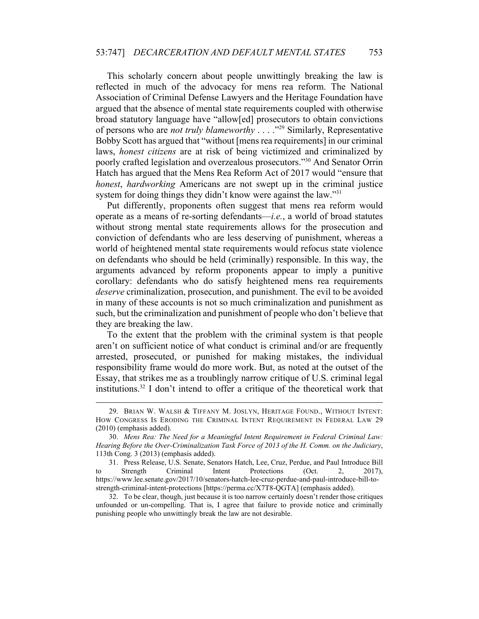This scholarly concern about people unwittingly breaking the law is reflected in much of the advocacy for mens rea reform. The National Association of Criminal Defense Lawyers and the Heritage Foundation have argued that the absence of mental state requirements coupled with otherwise broad statutory language have "allow[ed] prosecutors to obtain convictions of persons who are *not truly blameworthy* . . . ."29 Similarly, Representative Bobby Scott has argued that "without [mens rea requirements] in our criminal laws, *honest citizens* are at risk of being victimized and criminalized by poorly crafted legislation and overzealous prosecutors."30 And Senator Orrin Hatch has argued that the Mens Rea Reform Act of 2017 would "ensure that *honest*, *hardworking* Americans are not swept up in the criminal justice system for doing things they didn't know were against the law."<sup>31</sup>

Put differently, proponents often suggest that mens rea reform would operate as a means of re-sorting defendants—*i.e.*, a world of broad statutes without strong mental state requirements allows for the prosecution and conviction of defendants who are less deserving of punishment, whereas a world of heightened mental state requirements would refocus state violence on defendants who should be held (criminally) responsible. In this way, the arguments advanced by reform proponents appear to imply a punitive corollary: defendants who do satisfy heightened mens rea requirements *deserve* criminalization, prosecution, and punishment. The evil to be avoided in many of these accounts is not so much criminalization and punishment as such, but the criminalization and punishment of people who don't believe that they are breaking the law.

To the extent that the problem with the criminal system is that people aren't on sufficient notice of what conduct is criminal and/or are frequently arrested, prosecuted, or punished for making mistakes, the individual responsibility frame would do more work. But, as noted at the outset of the Essay, that strikes me as a troublingly narrow critique of U.S. criminal legal institutions.32 I don't intend to offer a critique of the theoretical work that

<sup>29.</sup> BRIAN W. WALSH & TIFFANY M. JOSLYN, HERITAGE FOUND., WITHOUT INTENT: HOW CONGRESS IS ERODING THE CRIMINAL INTENT REQUIREMENT IN FEDERAL LAW 29 (2010) (emphasis added).

<sup>30.</sup> *Mens Rea: The Need for a Meaningful Intent Requirement in Federal Criminal Law: Hearing Before the Over-Criminalization Task Force of 2013 of the H. Comm. on the Judiciary*, 113th Cong. 3 (2013) (emphasis added).

<sup>31.</sup> Press Release, U.S. Senate, Senators Hatch, Lee, Cruz, Perdue, and Paul Introduce Bill to Strength Criminal Intent Protections (Oct. 2, 2017), https://www.lee.senate.gov/2017/10/senators-hatch-lee-cruz-perdue-and-paul-introduce-bill-tostrength-criminal-intent-protections [https://perma.cc/X7T8-QGTA] (emphasis added).

<sup>32.</sup> To be clear, though, just because it is too narrow certainly doesn't render those critiques unfounded or un-compelling. That is, I agree that failure to provide notice and criminally punishing people who unwittingly break the law are not desirable.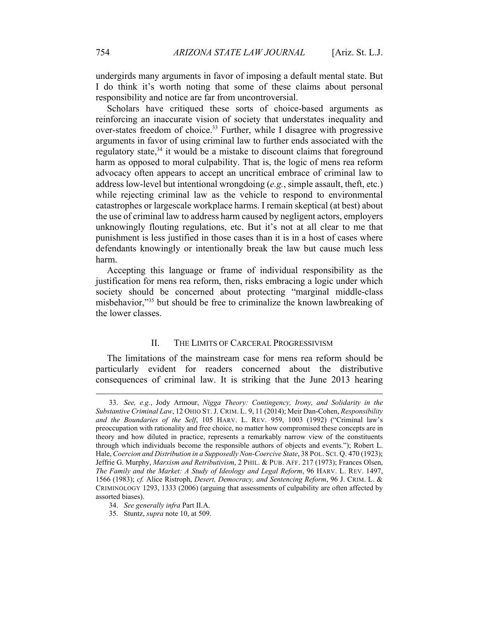undergirds many arguments in favor of imposing a default mental state. But I do think it's worth noting that some of these claims about personal responsibility and notice are far from uncontroversial.

Scholars have critiqued these sorts of choice-based arguments as reinforcing an inaccurate vision of society that understates inequality and over-states freedom of choice.<sup>33</sup> Further, while I disagree with progressive arguments in favor of using criminal law to further ends associated with the regulatory state,<sup>34</sup> it would be a mistake to discount claims that foreground harm as opposed to moral culpability. That is, the logic of mens rea reform advocacy often appears to accept an uncritical embrace of criminal law to address low-level but intentional wrongdoing (*e.g.*, simple assault, theft, etc.) while rejecting criminal law as the vehicle to respond to environmental catastrophes or largescale workplace harms. I remain skeptical (at best) about the use of criminal law to address harm caused by negligent actors, employers unknowingly flouting regulations, etc. But it's not at all clear to me that punishment is less justified in those cases than it is in a host of cases where defendants knowingly or intentionally break the law but cause much less harm.

Accepting this language or frame of individual responsibility as the justification for mens rea reform, then, risks embracing a logic under which society should be concerned about protecting "marginal middle-class misbehavior,"35 but should be free to criminalize the known lawbreaking of the lower classes.

## II. THE LIMITS OF CARCERAL PROGRESSIVISM

The limitations of the mainstream case for mens rea reform should be particularly evident for readers concerned about the distributive consequences of criminal law. It is striking that the June 2013 hearing

<sup>33.</sup> *See, e.g.*, Jody Armour, *Nigga Theory: Contingency, Irony, and Solidarity in the Substantive Criminal Law*, 12 OHIO ST.J. CRIM. L. 9, 11 (2014); Meir Dan-Cohen, *Responsibility and the Boundaries of the Self*, 105 HARV. L. REV. 959, 1003 (1992) ("Criminal law's preoccupation with rationality and free choice, no matter how compromised these concepts are in theory and how diluted in practice, represents a remarkably narrow view of the constituents through which individuals become the responsible authors of objects and events."); Robert L. Hale, *Coercion and Distribution in a Supposedly Non-Coercive State*, 38 POL. SCI. Q. 470 (1923); Jeffrie G. Murphy, *Marxism and Retributivism*, 2 PHIL. & PUB. AFF. 217 (1973); Frances Olsen, *The Family and the Market: A Study of Ideology and Legal Reform*, 96 HARV. L. REV. 1497, 1566 (1983); *cf.* Alice Ristroph, *Desert, Democracy, and Sentencing Reform*, 96 J. CRIM. L. & CRIMINOLOGY 1293, 1333 (2006) (arguing that assessments of culpability are often affected by assorted biases).

<sup>34.</sup> *See generally infra* Part II.A.

<sup>35.</sup> Stuntz, *supra* note 10, at 509.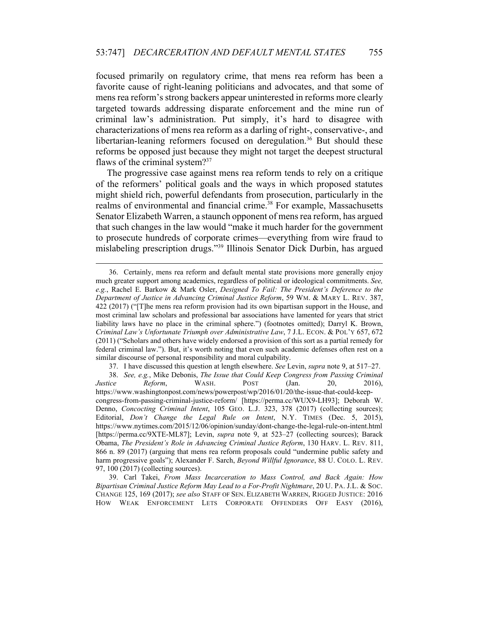focused primarily on regulatory crime, that mens rea reform has been a favorite cause of right-leaning politicians and advocates, and that some of mens rea reform's strong backers appear uninterested in reforms more clearly targeted towards addressing disparate enforcement and the mine run of criminal law's administration. Put simply, it's hard to disagree with characterizations of mens rea reform as a darling of right-, conservative-, and libertarian-leaning reformers focused on deregulation.<sup>36</sup> But should these reforms be opposed just because they might not target the deepest structural flaws of the criminal system?<sup>37</sup>

The progressive case against mens rea reform tends to rely on a critique of the reformers' political goals and the ways in which proposed statutes might shield rich, powerful defendants from prosecution, particularly in the realms of environmental and financial crime.<sup>38</sup> For example, Massachusetts Senator Elizabeth Warren, a staunch opponent of mens rea reform, has argued that such changes in the law would "make it much harder for the government to prosecute hundreds of corporate crimes—everything from wire fraud to mislabeling prescription drugs."39 Illinois Senator Dick Durbin, has argued

37. I have discussed this question at length elsewhere. *See* Levin, *supra* note 9, at 517–27.

<sup>36.</sup> Certainly, mens rea reform and default mental state provisions more generally enjoy much greater support among academics, regardless of political or ideological commitments. *See, e.g.*, Rachel E. Barkow & Mark Osler, *Designed To Fail: The President's Deference to the Department of Justice in Advancing Criminal Justice Reform*, 59 WM. & MARY L. REV. 387, 422 (2017) ("[T]he mens rea reform provision had its own bipartisan support in the House, and most criminal law scholars and professional bar associations have lamented for years that strict liability laws have no place in the criminal sphere.") (footnotes omitted); Darryl K. Brown, *Criminal Law's Unfortunate Triumph over Administrative Law*, 7 J.L. ECON. & POL'Y 657, 672 (2011) ("Scholars and others have widely endorsed a provision of this sort as a partial remedy for federal criminal law."). But, it's worth noting that even such academic defenses often rest on a similar discourse of personal responsibility and moral culpability.

<sup>38.</sup> *See, e.g.*, Mike Debonis, *The Issue that Could Keep Congress from Passing Criminal Justice Reform*, WASH. POST (Jan. 20, 2016), https://www.washingtonpost.com/news/powerpost/wp/2016/01/20/the-issue-that-could-keepcongress-from-passing-criminal-justice-reform/ [https://perma.cc/WUX9-LH93]; Deborah W. Denno, *Concocting Criminal Intent*, 105 GEO. L.J. 323, 378 (2017) (collecting sources); Editorial, *Don't Change the Legal Rule on Intent*, N.Y. TIMES (Dec. 5, 2015), https://www.nytimes.com/2015/12/06/opinion/sunday/dont-change-the-legal-rule-on-intent.html [https://perma.cc/9XTE-ML87]; Levin, *supra* note 9, at 523–27 (collecting sources); Barack Obama, *The President's Role in Advancing Criminal Justice Reform*, 130 HARV. L. REV. 811, 866 n. 89 (2017) (arguing that mens rea reform proposals could "undermine public safety and harm progressive goals"); Alexander F. Sarch, *Beyond Willful Ignorance*, 88 U. COLO. L. REV. 97, 100 (2017) (collecting sources).

<sup>39.</sup> Carl Takei, *From Mass Incarceration to Mass Control, and Back Again: How Bipartisan Criminal Justice Reform May Lead to a For-Profit Nightmare*, 20 U. PA. J.L. & SOC. CHANGE 125, 169 (2017); *see also* STAFF OF SEN. ELIZABETH WARREN, RIGGED JUSTICE: 2016 HOW WEAK ENFORCEMENT LETS CORPORATE OFFENDERS OFF EASY (2016),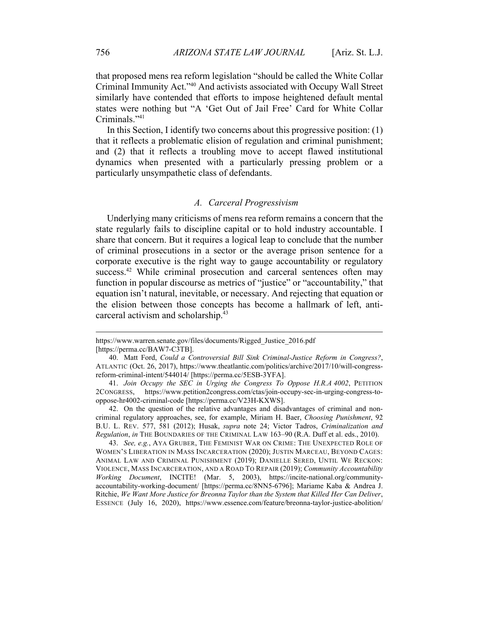that proposed mens rea reform legislation "should be called the White Collar Criminal Immunity Act."40 And activists associated with Occupy Wall Street similarly have contended that efforts to impose heightened default mental states were nothing but "A 'Get Out of Jail Free' Card for White Collar Criminals."41

In this Section, I identify two concerns about this progressive position: (1) that it reflects a problematic elision of regulation and criminal punishment; and (2) that it reflects a troubling move to accept flawed institutional dynamics when presented with a particularly pressing problem or a particularly unsympathetic class of defendants.

## *A. Carceral Progressivism*

Underlying many criticisms of mens rea reform remains a concern that the state regularly fails to discipline capital or to hold industry accountable. I share that concern. But it requires a logical leap to conclude that the number of criminal prosecutions in a sector or the average prison sentence for a corporate executive is the right way to gauge accountability or regulatory success.<sup>42</sup> While criminal prosecution and carceral sentences often may function in popular discourse as metrics of "justice" or "accountability," that equation isn't natural, inevitable, or necessary. And rejecting that equation or the elision between those concepts has become a hallmark of left, anticarceral activism and scholarship.<sup>43</sup>

42. On the question of the relative advantages and disadvantages of criminal and noncriminal regulatory approaches, see, for example, Miriam H. Baer, *Choosing Punishment*, 92 B.U. L. REV. 577, 581 (2012); Husak, *supra* note 24; Victor Tadros, *Criminalization and Regulation*, *in* THE BOUNDARIES OF THE CRIMINAL LAW 163–90 (R.A. Duff et al. eds., 2010).

43. *See, e.g.*, AYA GRUBER, THE FEMINIST WAR ON CRIME: THE UNEXPECTED ROLE OF WOMEN'S LIBERATION IN MASS INCARCERATION (2020); JUSTIN MARCEAU, BEYOND CAGES: ANIMAL LAW AND CRIMINAL PUNISHMENT (2019); DANIELLE SERED, UNTIL WE RECKON: VIOLENCE, MASS INCARCERATION, AND A ROAD TO REPAIR (2019); *Community Accountability Working Document*, INCITE! (Mar. 5, 2003), https://incite-national.org/communityaccountability-working-document/ [https://perma.cc/8NN5-6796]; Mariame Kaba & Andrea J. Ritchie, *We Want More Justice for Breonna Taylor than the System that Killed Her Can Deliver*, ESSENCE (July 16, 2020), https://www.essence.com/feature/breonna-taylor-justice-abolition/

https://www.warren.senate.gov/files/documents/Rigged\_Justice\_2016.pdf [https://perma.cc/BAW7-C3TB].

<sup>40.</sup> Matt Ford, *Could a Controversial Bill Sink Criminal-Justice Reform in Congress?*, ATLANTIC (Oct. 26, 2017), https://www.theatlantic.com/politics/archive/2017/10/will-congressreform-criminal-intent/544014/ [https://perma.cc/5ESB-3YFA].

<sup>41.</sup> *Join Occupy the SEC in Urging the Congress To Oppose H.R.A 4002*, PETITION 2CONGRESS, https://www.petition2congress.com/ctas/join-occupy-sec-in-urging-congress-tooppose-hr4002-criminal-code [https://perma.cc/V23H-KXWS].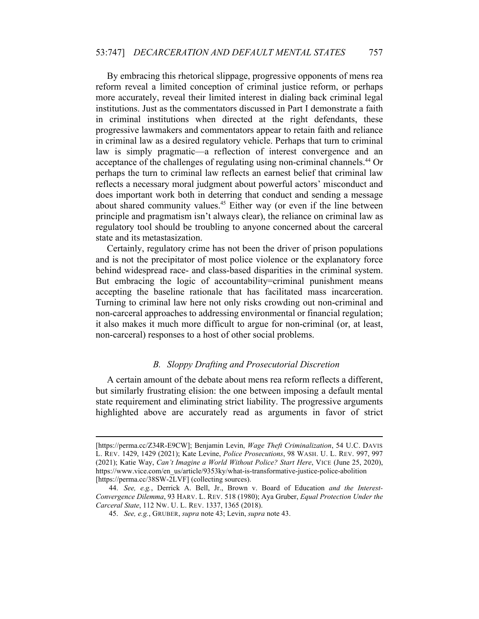By embracing this rhetorical slippage, progressive opponents of mens rea reform reveal a limited conception of criminal justice reform, or perhaps more accurately, reveal their limited interest in dialing back criminal legal institutions. Just as the commentators discussed in Part I demonstrate a faith in criminal institutions when directed at the right defendants, these progressive lawmakers and commentators appear to retain faith and reliance in criminal law as a desired regulatory vehicle. Perhaps that turn to criminal law is simply pragmatic—a reflection of interest convergence and an acceptance of the challenges of regulating using non-criminal channels.<sup>44</sup> Or perhaps the turn to criminal law reflects an earnest belief that criminal law reflects a necessary moral judgment about powerful actors' misconduct and does important work both in deterring that conduct and sending a message about shared community values.45 Either way (or even if the line between principle and pragmatism isn't always clear), the reliance on criminal law as regulatory tool should be troubling to anyone concerned about the carceral state and its metastasization.

Certainly, regulatory crime has not been the driver of prison populations and is not the precipitator of most police violence or the explanatory force behind widespread race- and class-based disparities in the criminal system. But embracing the logic of accountability=criminal punishment means accepting the baseline rationale that has facilitated mass incarceration. Turning to criminal law here not only risks crowding out non-criminal and non-carceral approaches to addressing environmental or financial regulation; it also makes it much more difficult to argue for non-criminal (or, at least, non-carceral) responses to a host of other social problems.

# *B. Sloppy Drafting and Prosecutorial Discretion*

A certain amount of the debate about mens rea reform reflects a different, but similarly frustrating elision: the one between imposing a default mental state requirement and eliminating strict liability. The progressive arguments highlighted above are accurately read as arguments in favor of strict

<sup>[</sup>https://perma.cc/Z34R-E9CW]; Benjamin Levin, *Wage Theft Criminalization*, 54 U.C. DAVIS L. REV. 1429, 1429 (2021); Kate Levine, *Police Prosecutions*, 98 WASH. U. L. REV. 997, 997 (2021); Katie Way, *Can't Imagine a World Without Police? Start Here*, VICE (June 25, 2020), https://www.vice.com/en\_us/article/9353ky/what-is-transformative-justice-police-abolition [https://perma.cc/38SW-2LVF] (collecting sources).

<sup>44.</sup> *See, e.g.*, Derrick A. Bell, Jr., Brown v. Board of Education *and the Interest-Convergence Dilemma*, 93 HARV. L. REV. 518 (1980); Aya Gruber, *Equal Protection Under the Carceral State*, 112 NW. U. L. REV. 1337, 1365 (2018).

<sup>45.</sup> *See, e.g.*, GRUBER, *supra* note 43; Levin, *supra* note 43.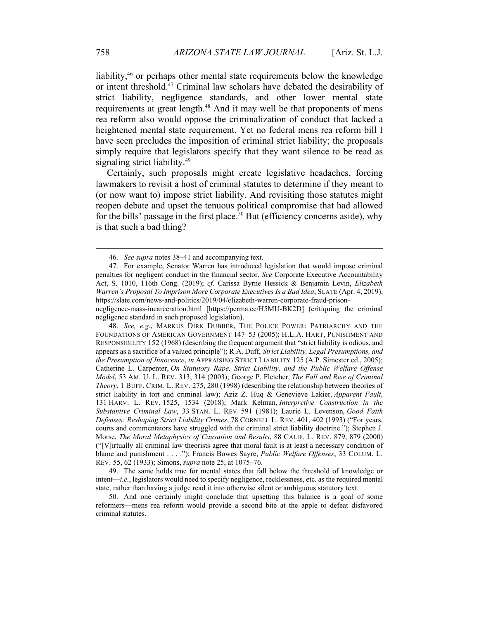liability,<sup>46</sup> or perhaps other mental state requirements below the knowledge or intent threshold.47 Criminal law scholars have debated the desirability of strict liability, negligence standards, and other lower mental state requirements at great length.<sup>48</sup> And it may well be that proponents of mens rea reform also would oppose the criminalization of conduct that lacked a heightened mental state requirement. Yet no federal mens rea reform bill I have seen precludes the imposition of criminal strict liability; the proposals simply require that legislators specify that they want silence to be read as signaling strict liability.<sup>49</sup>

Certainly, such proposals might create legislative headaches, forcing lawmakers to revisit a host of criminal statutes to determine if they meant to (or now want to) impose strict liability. And revisiting those statutes might reopen debate and upset the tenuous political compromise that had allowed for the bills' passage in the first place.<sup>50</sup> But (efficiency concerns aside), why is that such a bad thing?

48. *See, e.g.*, MARKUS DIRK DUBBER, THE POLICE POWER: PATRIARCHY AND THE FOUNDATIONS OF AMERICAN GOVERNMENT 147–53 (2005); H.L.A. HART, PUNISHMENT AND RESPONSIBILITY 152 (1968) (describing the frequent argument that "strict liability is odious, and appears as a sacrifice of a valued principle"); R.A. Duff, *Strict Liability, Legal Presumptions, and the Presumption of Innocence*, *in* APPRAISING STRICT LIABILITY 125 (A.P. Simester ed., 2005); Catherine L. Carpenter, *On Statutory Rape, Strict Liability, and the Public Welfare Offense Model*, 53 AM. U. L. REV. 313, 314 (2003); George P. Fletcher, *The Fall and Rise of Criminal Theory*, 1 BUFF. CRIM. L. REV. 275, 280 (1998) (describing the relationship between theories of strict liability in tort and criminal law); Aziz Z. Huq & Genevieve Lakier, *Apparent Fault*, 131 HARV. L. REV. 1525, 1534 (2018); Mark Kelman, *Interpretive Construction in the Substantive Criminal Law*, 33 STAN. L. REV. 591 (1981); Laurie L. Levenson, *Good Faith Defenses: Reshaping Strict Liability Crimes*, 78 CORNELL L. REV. 401, 402 (1993) ("For years, courts and commentators have struggled with the criminal strict liability doctrine."); Stephen J. Morse, *The Moral Metaphysics of Causation and Results*, 88 CALIF. L. REV. 879, 879 (2000) ("[V]irtually all criminal law theorists agree that moral fault is at least a necessary condition of blame and punishment . . . ."); Francis Bowes Sayre, *Public Welfare Offenses*, 33 COLUM. L. REV. 55, 62 (1933); Simons, *supra* note 25, at 1075–76.

49. The same holds true for mental states that fall below the threshold of knowledge or intent—*i.e.*, legislators would need to specify negligence, recklessness, etc. as the required mental state, rather than having a judge read it into otherwise silent or ambiguous statutory text.

<sup>46.</sup> *See supra* notes 38–41 and accompanying text.

<sup>47.</sup> For example, Senator Warren has introduced legislation that would impose criminal penalties for negligent conduct in the financial sector. *See* Corporate Executive Accountability Act, S. 1010, 116th Cong. (2019); *cf.* Carissa Byrne Hessick & Benjamin Levin, *Elizabeth Warren's Proposal To Imprison More Corporate Executives Is a Bad Idea*, SLATE (Apr. 4, 2019), https://slate.com/news-and-politics/2019/04/elizabeth-warren-corporate-fraud-prison-

negligence-mass-incarceration.html [https://perma.cc/H5MU-BK2D] (critiquing the criminal negligence standard in such proposed legislation).

<sup>50.</sup> And one certainly might conclude that upsetting this balance is a goal of some reformers—mens rea reform would provide a second bite at the apple to defeat disfavored criminal statutes.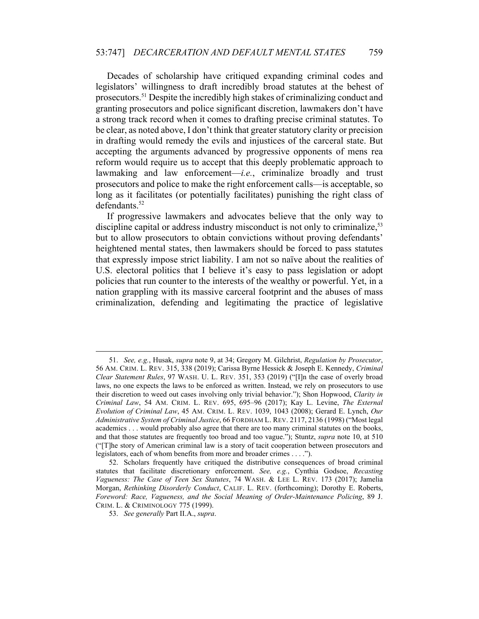Decades of scholarship have critiqued expanding criminal codes and legislators' willingness to draft incredibly broad statutes at the behest of prosecutors.51 Despite the incredibly high stakes of criminalizing conduct and granting prosecutors and police significant discretion, lawmakers don't have a strong track record when it comes to drafting precise criminal statutes. To be clear, as noted above, I don't think that greater statutory clarity or precision in drafting would remedy the evils and injustices of the carceral state. But accepting the arguments advanced by progressive opponents of mens rea reform would require us to accept that this deeply problematic approach to lawmaking and law enforcement—*i.e.*, criminalize broadly and trust prosecutors and police to make the right enforcement calls—is acceptable, so long as it facilitates (or potentially facilitates) punishing the right class of defendants.<sup>52</sup>

If progressive lawmakers and advocates believe that the only way to discipline capital or address industry misconduct is not only to criminalize,<sup>53</sup> but to allow prosecutors to obtain convictions without proving defendants' heightened mental states, then lawmakers should be forced to pass statutes that expressly impose strict liability. I am not so naïve about the realities of U.S. electoral politics that I believe it's easy to pass legislation or adopt policies that run counter to the interests of the wealthy or powerful. Yet, in a nation grappling with its massive carceral footprint and the abuses of mass criminalization, defending and legitimating the practice of legislative

<sup>51.</sup> *See, e.g.*, Husak, *supra* note 9, at 34; Gregory M. Gilchrist, *Regulation by Prosecutor*, 56 AM. CRIM. L. REV. 315, 338 (2019); Carissa Byrne Hessick & Joseph E. Kennedy, *Criminal Clear Statement Rules*, 97 WASH. U. L. REV. 351, 353 (2019) ("[I]n the case of overly broad laws, no one expects the laws to be enforced as written. Instead, we rely on prosecutors to use their discretion to weed out cases involving only trivial behavior."); Shon Hopwood, *Clarity in Criminal Law*, 54 AM. CRIM. L. REV. 695, 695–96 (2017); Kay L. Levine, *The External Evolution of Criminal Law*, 45 AM. CRIM. L. REV. 1039, 1043 (2008); Gerard E. Lynch, *Our Administrative System of Criminal Justice*, 66 FORDHAM L. REV. 2117, 2136 (1998) ("Most legal academics . . . would probably also agree that there are too many criminal statutes on the books, and that those statutes are frequently too broad and too vague."); Stuntz, *supra* note 10, at 510 ("[T]he story of American criminal law is a story of tacit cooperation between prosecutors and legislators, each of whom benefits from more and broader crimes . . . .").

<sup>52.</sup> Scholars frequently have critiqued the distributive consequences of broad criminal statutes that facilitate discretionary enforcement. *See, e.g.*, Cynthia Godsoe, *Recasting Vagueness: The Case of Teen Sex Statutes*, 74 WASH. & LEE L. REV. 173 (2017); Jamelia Morgan, *Rethinking Disorderly Conduct*, CALIF. L. REV. (forthcoming); Dorothy E. Roberts, *Foreword: Race, Vagueness, and the Social Meaning of Order-Maintenance Policing*, 89 J. CRIM. L. & CRIMINOLOGY 775 (1999).

<sup>53.</sup> *See generally* Part II.A., *supra*.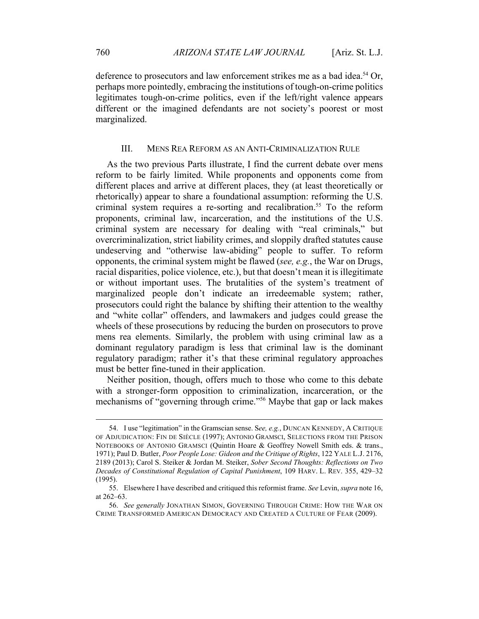deference to prosecutors and law enforcement strikes me as a bad idea.<sup>54</sup> Or, perhaps more pointedly, embracing the institutions of tough-on-crime politics legitimates tough-on-crime politics, even if the left/right valence appears different or the imagined defendants are not society's poorest or most marginalized.

## III. MENS REA REFORM AS AN ANTI-CRIMINALIZATION RULE

As the two previous Parts illustrate, I find the current debate over mens reform to be fairly limited. While proponents and opponents come from different places and arrive at different places, they (at least theoretically or rhetorically) appear to share a foundational assumption: reforming the U.S. criminal system requires a re-sorting and recalibration.<sup>55</sup> To the reform proponents, criminal law, incarceration, and the institutions of the U.S. criminal system are necessary for dealing with "real criminals," but overcriminalization, strict liability crimes, and sloppily drafted statutes cause undeserving and "otherwise law-abiding" people to suffer. To reform opponents, the criminal system might be flawed (*see, e.g.*, the War on Drugs, racial disparities, police violence, etc.), but that doesn't mean it is illegitimate or without important uses. The brutalities of the system's treatment of marginalized people don't indicate an irredeemable system; rather, prosecutors could right the balance by shifting their attention to the wealthy and "white collar" offenders, and lawmakers and judges could grease the wheels of these prosecutions by reducing the burden on prosecutors to prove mens rea elements. Similarly, the problem with using criminal law as a dominant regulatory paradigm is less that criminal law is the dominant regulatory paradigm; rather it's that these criminal regulatory approaches must be better fine-tuned in their application.

Neither position, though, offers much to those who come to this debate with a stronger-form opposition to criminalization, incarceration, or the mechanisms of "governing through crime."56 Maybe that gap or lack makes

<sup>54.</sup> I use "legitimation" in the Gramscian sense. S*ee, e.g.*, DUNCAN KENNEDY, A CRITIQUE OF ADJUDICATION: FIN DE SIÈCLE (1997); ANTONIO GRAMSCI, SELECTIONS FROM THE PRISON NOTEBOOKS OF ANTONIO GRAMSCI (Quintin Hoare & Geoffrey Nowell Smith eds. & trans., 1971); Paul D. Butler, *Poor People Lose: Gideon and the Critique of Rights*, 122 YALE L.J. 2176, 2189 (2013); Carol S. Steiker & Jordan M. Steiker, *Sober Second Thoughts: Reflections on Two Decades of Constitutional Regulation of Capital Punishment*, 109 HARV. L. REV. 355, 429–32 (1995).

<sup>55.</sup> Elsewhere I have described and critiqued this reformist frame. *See* Levin, *supra* note 16, at 262–63.

<sup>56.</sup> *See generally* JONATHAN SIMON, GOVERNING THROUGH CRIME: HOW THE WAR ON CRIME TRANSFORMED AMERICAN DEMOCRACY AND CREATED A CULTURE OF FEAR (2009).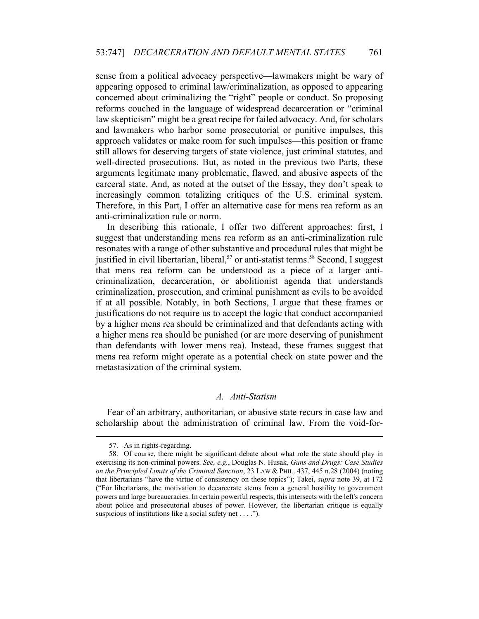sense from a political advocacy perspective—lawmakers might be wary of appearing opposed to criminal law/criminalization, as opposed to appearing concerned about criminalizing the "right" people or conduct. So proposing reforms couched in the language of widespread decarceration or "criminal law skepticism" might be a great recipe for failed advocacy. And, for scholars and lawmakers who harbor some prosecutorial or punitive impulses, this approach validates or make room for such impulses—this position or frame still allows for deserving targets of state violence, just criminal statutes, and well-directed prosecutions. But, as noted in the previous two Parts, these arguments legitimate many problematic, flawed, and abusive aspects of the carceral state. And, as noted at the outset of the Essay, they don't speak to increasingly common totalizing critiques of the U.S. criminal system. Therefore, in this Part, I offer an alternative case for mens rea reform as an anti-criminalization rule or norm.

In describing this rationale, I offer two different approaches: first, I suggest that understanding mens rea reform as an anti-criminalization rule resonates with a range of other substantive and procedural rules that might be justified in civil libertarian, liberal,<sup>57</sup> or anti-statist terms.<sup>58</sup> Second, I suggest that mens rea reform can be understood as a piece of a larger anticriminalization, decarceration, or abolitionist agenda that understands criminalization, prosecution, and criminal punishment as evils to be avoided if at all possible. Notably, in both Sections, I argue that these frames or justifications do not require us to accept the logic that conduct accompanied by a higher mens rea should be criminalized and that defendants acting with a higher mens rea should be punished (or are more deserving of punishment than defendants with lower mens rea). Instead, these frames suggest that mens rea reform might operate as a potential check on state power and the metastasization of the criminal system.

# *A. Anti-Statism*

Fear of an arbitrary, authoritarian, or abusive state recurs in case law and scholarship about the administration of criminal law. From the void-for-

<sup>57.</sup> As in rights-regarding.

<sup>58.</sup> Of course, there might be significant debate about what role the state should play in exercising its non-criminal powers. *See, e.g.*, Douglas N. Husak, *Guns and Drugs: Case Studies on the Principled Limits of the Criminal Sanction*, 23 LAW & PHIL. 437, 445 n.28 (2004) (noting that libertarians "have the virtue of consistency on these topics"); Takei, *supra* note 39, at 172 ("For libertarians, the motivation to decarcerate stems from a general hostility to government powers and large bureaucracies. In certain powerful respects, this intersects with the left's concern about police and prosecutorial abuses of power. However, the libertarian critique is equally suspicious of institutions like a social safety net . . . .").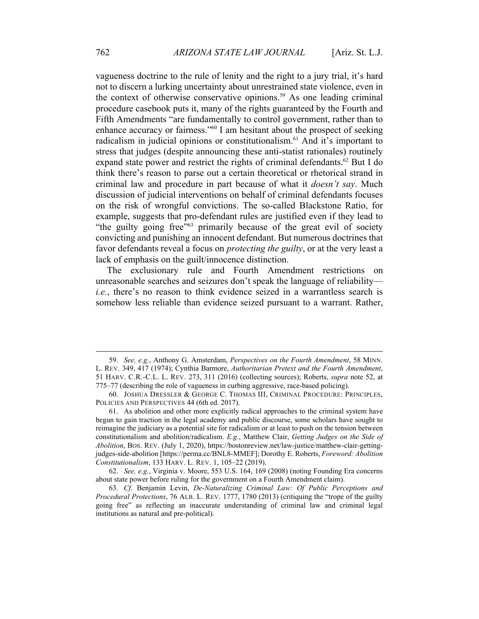vagueness doctrine to the rule of lenity and the right to a jury trial, it's hard not to discern a lurking uncertainty about unrestrained state violence, even in the context of otherwise conservative opinions.<sup>59</sup> As one leading criminal procedure casebook puts it, many of the rights guaranteed by the Fourth and Fifth Amendments "are fundamentally to control government, rather than to enhance accuracy or fairness."60 I am hesitant about the prospect of seeking radicalism in judicial opinions or constitutionalism.<sup>61</sup> And it's important to stress that judges (despite announcing these anti-statist rationales) routinely expand state power and restrict the rights of criminal defendants.<sup>62</sup> But I do think there's reason to parse out a certain theoretical or rhetorical strand in criminal law and procedure in part because of what it *doesn't say*. Much discussion of judicial interventions on behalf of criminal defendants focuses on the risk of wrongful convictions. The so-called Blackstone Ratio, for example, suggests that pro-defendant rules are justified even if they lead to "the guilty going free"<sup>63</sup> primarily because of the great evil of society convicting and punishing an innocent defendant. But numerous doctrines that favor defendants reveal a focus on *protecting the guilty*, or at the very least a lack of emphasis on the guilt/innocence distinction.

The exclusionary rule and Fourth Amendment restrictions on unreasonable searches and seizures don't speak the language of reliability *i.e.*, there's no reason to think evidence seized in a warrantless search is somehow less reliable than evidence seized pursuant to a warrant. Rather,

<sup>59.</sup> *See, e.g.*, Anthony G. Amsterdam, *Perspectives on the Fourth Amendment*, 58 MINN. L. REV. 349, 417 (1974); Cynthia Barmore, *Authoritarian Pretext and the Fourth Amendment*, 51 HARV. C.R.-C.L. L. REV. 273, 311 (2016) (collecting sources); Roberts, *supra* note 52, at 775–77 (describing the role of vagueness in curbing aggressive, race-based policing).

<sup>60.</sup> JOSHUA DRESSLER & GEORGE C. THOMAS III, CRIMINAL PROCEDURE: PRINCIPLES, POLICIES AND PERSPECTIVES 44 (6th ed. 2017).

<sup>61.</sup> As abolition and other more explicitly radical approaches to the criminal system have begun to gain traction in the legal academy and public discourse, some scholars have sought to reimagine the judiciary as a potential site for radicalism or at least to push on the tension between constitutionalism and abolition/radicalism. *E.g.*, Matthew Clair, *Getting Judges on the Side of Abolition*, BOS. REV. (July 1, 2020), https://bostonreview.net/law-justice/matthew-clair-gettingjudges-side-abolition [https://perma.cc/BNL8-MMEF]; Dorothy E. Roberts, *Foreword: Abolition Constitutionalism*, 133 HARV. L. REV. 1, 105–22 (2019).

<sup>62.</sup> *See, e.g.*, Virginia v. Moore, 553 U.S. 164, 169 (2008) (noting Founding Era concerns about state power before ruling for the government on a Fourth Amendment claim).

<sup>63.</sup> *Cf.* Benjamin Levin, *De-Naturalizing Criminal Law: Of Public Perceptions and Procedural Protections*, 76 ALB. L. REV. 1777, 1780 (2013) (critiquing the "trope of the guilty going free" as reflecting an inaccurate understanding of criminal law and criminal legal institutions as natural and pre-political).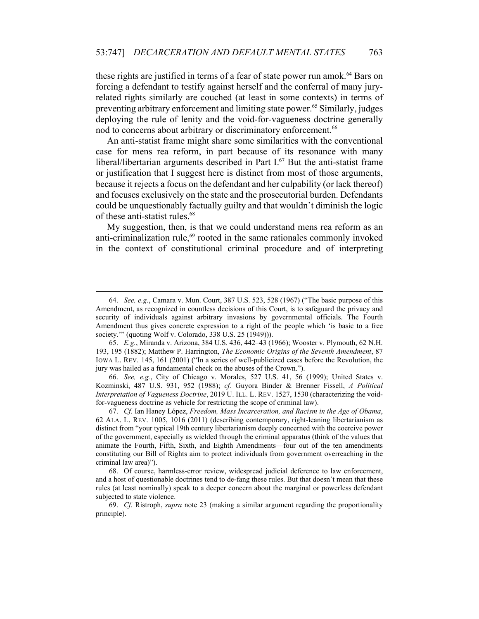these rights are justified in terms of a fear of state power run amok.<sup>64</sup> Bars on forcing a defendant to testify against herself and the conferral of many juryrelated rights similarly are couched (at least in some contexts) in terms of preventing arbitrary enforcement and limiting state power.<sup>65</sup> Similarly, judges deploying the rule of lenity and the void-for-vagueness doctrine generally nod to concerns about arbitrary or discriminatory enforcement.<sup>66</sup>

An anti-statist frame might share some similarities with the conventional case for mens rea reform, in part because of its resonance with many liberal/libertarian arguments described in Part  $I<sup>67</sup>$  But the anti-statist frame or justification that I suggest here is distinct from most of those arguments, because it rejects a focus on the defendant and her culpability (or lack thereof) and focuses exclusively on the state and the prosecutorial burden. Defendants could be unquestionably factually guilty and that wouldn't diminish the logic of these anti-statist rules.<sup>68</sup>

My suggestion, then, is that we could understand mens rea reform as an anti-criminalization rule, $69$  rooted in the same rationales commonly invoked in the context of constitutional criminal procedure and of interpreting

66. *See, e.g.*, City of Chicago v. Morales, 527 U.S. 41, 56 (1999); United States v. Kozminski, 487 U.S. 931, 952 (1988); *cf.* Guyora Binder & Brenner Fissell, *A Political Interpretation of Vagueness Doctrine*, 2019 U. ILL. L. REV. 1527, 1530 (characterizing the voidfor-vagueness doctrine as vehicle for restricting the scope of criminal law).

<sup>64.</sup> *See, e.g.*, Camara v. Mun. Court, 387 U.S. 523, 528 (1967) ("The basic purpose of this Amendment, as recognized in countless decisions of this Court, is to safeguard the privacy and security of individuals against arbitrary invasions by governmental officials. The Fourth Amendment thus gives concrete expression to a right of the people which 'is basic to a free society.'" (quoting Wolf v. Colorado, 338 U.S. 25 (1949))).

<sup>65.</sup> *E.g.*, Miranda v. Arizona, 384 U.S. 436, 442–43 (1966); Wooster v. Plymouth, 62 N.H. 193, 195 (1882); Matthew P. Harrington, *The Economic Origins of the Seventh Amendment*, 87 IOWA L. REV. 145, 161 (2001) ("In a series of well-publicized cases before the Revolution, the jury was hailed as a fundamental check on the abuses of the Crown.").

<sup>67.</sup> *Cf*. Ian Haney López, *Freedom, Mass Incarceration, and Racism in the Age of Obama*, 62 ALA. L. REV. 1005, 1016 (2011) (describing contemporary, right-leaning libertarianism as distinct from "your typical 19th century libertarianism deeply concerned with the coercive power of the government, especially as wielded through the criminal apparatus (think of the values that animate the Fourth, Fifth, Sixth, and Eighth Amendments—four out of the ten amendments constituting our Bill of Rights aim to protect individuals from government overreaching in the criminal law area)").

<sup>68.</sup> Of course, harmless-error review, widespread judicial deference to law enforcement, and a host of questionable doctrines tend to de-fang these rules. But that doesn't mean that these rules (at least nominally) speak to a deeper concern about the marginal or powerless defendant subjected to state violence.

<sup>69.</sup> *Cf.* Ristroph, *supra* note 23 (making a similar argument regarding the proportionality principle).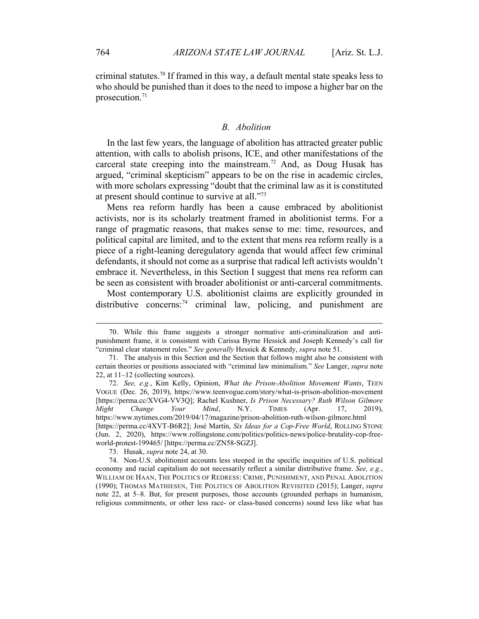criminal statutes.<sup>70</sup> If framed in this way, a default mental state speaks less to who should be punished than it does to the need to impose a higher bar on the prosecution.71

## *B. Abolition*

In the last few years, the language of abolition has attracted greater public attention, with calls to abolish prisons, ICE, and other manifestations of the carceral state creeping into the mainstream.<sup>72</sup> And, as Doug Husak has argued, "criminal skepticism" appears to be on the rise in academic circles, with more scholars expressing "doubt that the criminal law as it is constituted at present should continue to survive at all."<sup>73</sup>

Mens rea reform hardly has been a cause embraced by abolitionist activists, nor is its scholarly treatment framed in abolitionist terms. For a range of pragmatic reasons, that makes sense to me: time, resources, and political capital are limited, and to the extent that mens rea reform really is a piece of a right-leaning deregulatory agenda that would affect few criminal defendants, it should not come as a surprise that radical left activists wouldn't embrace it. Nevertheless, in this Section I suggest that mens rea reform can be seen as consistent with broader abolitionist or anti-carceral commitments.

Most contemporary U.S. abolitionist claims are explicitly grounded in distributive concerns:<sup>74</sup> criminal law, policing, and punishment are

73. Husak, *supra* note 24, at 30.

<sup>70.</sup> While this frame suggests a stronger normative anti-criminalization and antipunishment frame, it is consistent with Carissa Byrne Hessick and Joseph Kennedy's call for "criminal clear statement rules." *See generally* Hessick & Kennedy, *supra* note 51.

<sup>71.</sup> The analysis in this Section and the Section that follows might also be consistent with certain theories or positions associated with "criminal law minimalism." *See* Langer, *supra* note 22, at 11–12 (collecting sources).

<sup>72.</sup> *See, e.g.*, Kim Kelly, Opinion, *What the Prison-Abolition Movement Wants*, TEEN VOGUE (Dec. 26, 2019), https://www.teenvogue.com/story/what-is-prison-abolition-movement [https://perma.cc/XVG4-VV3Q]; Rachel Kushner, *Is Prison Necessary? Ruth Wilson Gilmore Might Change Your Mind*, N.Y. TIMES (Apr. 17, 2019), https://www.nytimes.com/2019/04/17/magazine/prison-abolition-ruth-wilson-gilmore.html [https://perma.cc/4XVT-B6R2]; José Martín, *Six Ideas for a Cop-Free World*, ROLLING STONE (Jun. 2, 2020), https://www.rollingstone.com/politics/politics-news/police-brutality-cop-freeworld-protest-199465/ [https://perma.cc/ZN58-SGZJ].

<sup>74.</sup> Non-U.S. abolitionist accounts less steeped in the specific inequities of U.S. political economy and racial capitalism do not necessarily reflect a similar distributive frame. *See, e.g.*, WILLIAM DE HAAN, THE POLITICS OF REDRESS: CRIME, PUNISHMENT, AND PENAL ABOLITION (1990); THOMAS MATHIESEN, THE POLITICS OF ABOLITION REVISITED (2015); Langer, *supra* note 22, at 5–8. But, for present purposes, those accounts (grounded perhaps in humanism, religious commitments, or other less race- or class-based concerns) sound less like what has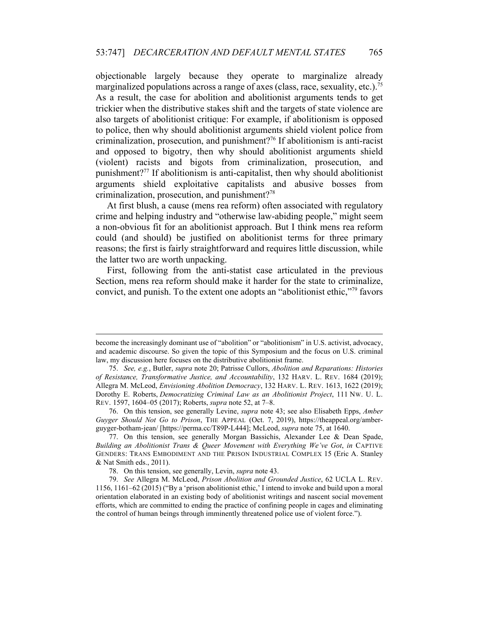objectionable largely because they operate to marginalize already marginalized populations across a range of axes (class, race, sexuality, etc.).<sup>75</sup> As a result, the case for abolition and abolitionist arguments tends to get trickier when the distributive stakes shift and the targets of state violence are also targets of abolitionist critique: For example, if abolitionism is opposed to police, then why should abolitionist arguments shield violent police from criminalization, prosecution, and punishment?76 If abolitionism is anti-racist and opposed to bigotry, then why should abolitionist arguments shield (violent) racists and bigots from criminalization, prosecution, and punishment?77 If abolitionism is anti-capitalist, then why should abolitionist arguments shield exploitative capitalists and abusive bosses from criminalization, prosecution, and punishment?78

At first blush, a cause (mens rea reform) often associated with regulatory crime and helping industry and "otherwise law-abiding people," might seem a non-obvious fit for an abolitionist approach. But I think mens rea reform could (and should) be justified on abolitionist terms for three primary reasons; the first is fairly straightforward and requires little discussion, while the latter two are worth unpacking.

First, following from the anti-statist case articulated in the previous Section, mens rea reform should make it harder for the state to criminalize, convict, and punish. To the extent one adopts an "abolitionist ethic,"79 favors

become the increasingly dominant use of "abolition" or "abolitionism" in U.S. activist, advocacy, and academic discourse. So given the topic of this Symposium and the focus on U.S. criminal law, my discussion here focuses on the distributive abolitionist frame.

<sup>75.</sup> *See, e.g.*, Butler, *supra* note 20; Patrisse Cullors, *Abolition and Reparations: Histories of Resistance, Transformative Justice, and Accountability*, 132 HARV. L. REV. 1684 (2019); Allegra M. McLeod, *Envisioning Abolition Democracy*, 132 HARV. L. REV. 1613, 1622 (2019); Dorothy E. Roberts, *Democratizing Criminal Law as an Abolitionist Project*, 111 NW. U. L. REV. 1597, 1604–05 (2017); Roberts, *supra* note 52, at 7–8.

<sup>76.</sup> On this tension, see generally Levine, *supra* note 43; see also Elisabeth Epps, *Amber Guyger Should Not Go to Prison*, THE APPEAL (Oct. 7, 2019), https://theappeal.org/amberguyger-botham-jean/ [https://perma.cc/T89P-L444]; McLeod, *supra* note 75, at 1640.

<sup>77.</sup> On this tension, see generally Morgan Bassichis, Alexander Lee & Dean Spade, *Building an Abolitionist Trans & Queer Movement with Everything We've Got*, *in* CAPTIVE GENDERS: TRANS EMBODIMENT AND THE PRISON INDUSTRIAL COMPLEX 15 (Eric A. Stanley & Nat Smith eds., 2011).

<sup>78.</sup> On this tension, see generally, Levin, *supra* note 43.

<sup>79.</sup> *See* Allegra M. McLeod, *Prison Abolition and Grounded Justice*, 62 UCLA L. REV. 1156, 1161–62 (2015) ("By a 'prison abolitionist ethic,' I intend to invoke and build upon a moral orientation elaborated in an existing body of abolitionist writings and nascent social movement efforts, which are committed to ending the practice of confining people in cages and eliminating the control of human beings through imminently threatened police use of violent force.").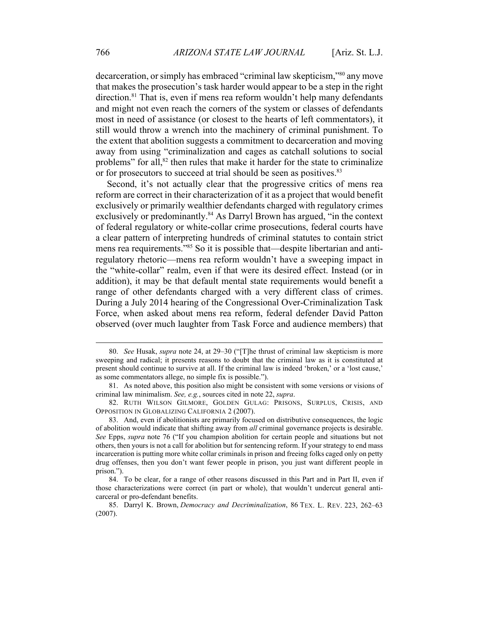decarceration, or simply has embraced "criminal law skepticism,"80 any move that makes the prosecution's task harder would appear to be a step in the right direction.<sup>81</sup> That is, even if mens rea reform wouldn't help many defendants and might not even reach the corners of the system or classes of defendants most in need of assistance (or closest to the hearts of left commentators), it still would throw a wrench into the machinery of criminal punishment. To the extent that abolition suggests a commitment to decarceration and moving away from using "criminalization and cages as catchall solutions to social problems" for all, $82$  then rules that make it harder for the state to criminalize or for prosecutors to succeed at trial should be seen as positives.<sup>83</sup>

Second, it's not actually clear that the progressive critics of mens rea reform are correct in their characterization of it as a project that would benefit exclusively or primarily wealthier defendants charged with regulatory crimes exclusively or predominantly.<sup>84</sup> As Darryl Brown has argued, "in the context" of federal regulatory or white-collar crime prosecutions, federal courts have a clear pattern of interpreting hundreds of criminal statutes to contain strict mens rea requirements."85 So it is possible that—despite libertarian and antiregulatory rhetoric—mens rea reform wouldn't have a sweeping impact in the "white-collar" realm, even if that were its desired effect. Instead (or in addition), it may be that default mental state requirements would benefit a range of other defendants charged with a very different class of crimes. During a July 2014 hearing of the Congressional Over-Criminalization Task Force, when asked about mens rea reform, federal defender David Patton observed (over much laughter from Task Force and audience members) that

<sup>80.</sup> *See* Husak, *supra* note 24, at 29–30 ("[T]he thrust of criminal law skepticism is more sweeping and radical; it presents reasons to doubt that the criminal law as it is constituted at present should continue to survive at all. If the criminal law is indeed 'broken,' or a 'lost cause,' as some commentators allege, no simple fix is possible.").

<sup>81.</sup> As noted above, this position also might be consistent with some versions or visions of criminal law minimalism. *See, e.g.*, sources cited in note 22, *supra*.

<sup>82.</sup> RUTH WILSON GILMORE, GOLDEN GULAG: PRISONS, SURPLUS, CRISIS, AND OPPOSITION IN GLOBALIZING CALIFORNIA 2 (2007).

<sup>83.</sup> And, even if abolitionists are primarily focused on distributive consequences, the logic of abolition would indicate that shifting away from *all* criminal governance projects is desirable. *See* Epps, *supra* note 76 ("If you champion abolition for certain people and situations but not others, then yours is not a call for abolition but for sentencing reform. If your strategy to end mass incarceration is putting more white collar criminals in prison and freeing folks caged only on petty drug offenses, then you don't want fewer people in prison, you just want different people in prison.").

<sup>84.</sup> To be clear, for a range of other reasons discussed in this Part and in Part II, even if those characterizations were correct (in part or whole), that wouldn't undercut general anticarceral or pro-defendant benefits.

<sup>85.</sup> Darryl K. Brown, *Democracy and Decriminalization*, 86 TEX. L. REV. 223, 262–63 (2007).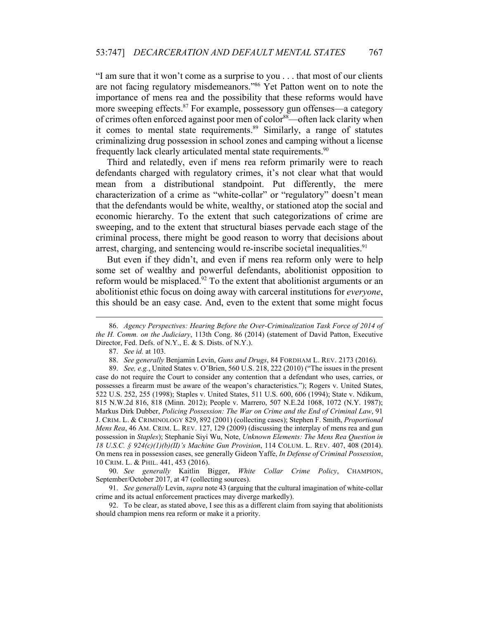"I am sure that it won't come as a surprise to you . . . that most of our clients are not facing regulatory misdemeanors."86 Yet Patton went on to note the importance of mens rea and the possibility that these reforms would have more sweeping effects.<sup>87</sup> For example, possessory gun offenses—a category of crimes often enforced against poor men of color<sup>88</sup>—often lack clarity when it comes to mental state requirements.<sup>89</sup> Similarly, a range of statutes criminalizing drug possession in school zones and camping without a license frequently lack clearly articulated mental state requirements.<sup>90</sup>

Third and relatedly, even if mens rea reform primarily were to reach defendants charged with regulatory crimes, it's not clear what that would mean from a distributional standpoint. Put differently, the mere characterization of a crime as "white-collar" or "regulatory" doesn't mean that the defendants would be white, wealthy, or stationed atop the social and economic hierarchy. To the extent that such categorizations of crime are sweeping, and to the extent that structural biases pervade each stage of the criminal process, there might be good reason to worry that decisions about arrest, charging, and sentencing would re-inscribe societal inequalities.<sup>91</sup>

But even if they didn't, and even if mens rea reform only were to help some set of wealthy and powerful defendants, abolitionist opposition to reform would be misplaced.<sup>92</sup> To the extent that abolitionist arguments or an abolitionist ethic focus on doing away with carceral institutions for *everyone*, this should be an easy case. And, even to the extent that some might focus

90. *See generally* Kaitlin Bigger, *White Collar Crime Policy*, CHAMPION, September/October 2017, at 47 (collecting sources).

<sup>86.</sup> *Agency Perspectives: Hearing Before the Over-Criminalization Task Force of 2014 of the H. Comm. on the Judiciary*, 113th Cong. 86 (2014) (statement of David Patton, Executive Director, Fed. Defs. of N.Y., E. & S. Dists. of N.Y.).

<sup>87.</sup> *See id.* at 103.

<sup>88.</sup> *See generally* Benjamin Levin, *Guns and Drugs*, 84 FORDHAM L. REV. 2173 (2016).

<sup>89.</sup> *See, e.g.*, United States v. O'Brien, 560 U.S. 218, 222 (2010) ("The issues in the present case do not require the Court to consider any contention that a defendant who uses, carries, or possesses a firearm must be aware of the weapon's characteristics."); Rogers v. United States, 522 U.S. 252, 255 (1998); Staples v. United States, 511 U.S. 600, 606 (1994); State v. Ndikum, 815 N.W.2d 816, 818 (Minn. 2012); People v. Marrero, 507 N.E.2d 1068, 1072 (N.Y. 1987); Markus Dirk Dubber, *Policing Possession: The War on Crime and the End of Criminal Law*, 91 J. CRIM. L. & CRIMINOLOGY 829, 892 (2001) (collecting cases); Stephen F. Smith, *Proportional Mens Rea*, 46 AM. CRIM. L. REV. 127, 129 (2009) (discussing the interplay of mens rea and gun possession in *Staples*); Stephanie Siyi Wu, Note, *Unknown Elements: The Mens Rea Question in 18 U.S.C. § 924(c)(1)(b)(II)'s Machine Gun Provision*, 114 COLUM. L. REV. 407, 408 (2014). On mens rea in possession cases, see generally Gideon Yaffe, *In Defense of Criminal Possession*, 10 CRIM. L. & PHIL. 441, 453 (2016).

<sup>91.</sup> *See generally* Levin, *supra* note 43 (arguing that the cultural imagination of white-collar crime and its actual enforcement practices may diverge markedly).

<sup>92.</sup> To be clear, as stated above, I see this as a different claim from saying that abolitionists should champion mens rea reform or make it a priority.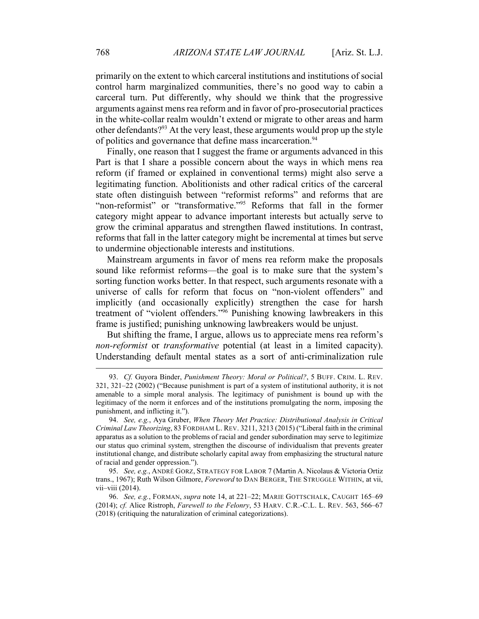primarily on the extent to which carceral institutions and institutions of social control harm marginalized communities, there's no good way to cabin a carceral turn. Put differently, why should we think that the progressive arguments against mens rea reform and in favor of pro-prosecutorial practices in the white-collar realm wouldn't extend or migrate to other areas and harm other defendants?93 At the very least, these arguments would prop up the style of politics and governance that define mass incarceration.<sup>94</sup>

Finally, one reason that I suggest the frame or arguments advanced in this Part is that I share a possible concern about the ways in which mens rea reform (if framed or explained in conventional terms) might also serve a legitimating function. Abolitionists and other radical critics of the carceral state often distinguish between "reformist reforms" and reforms that are "non-reformist" or "transformative."<sup>95</sup> Reforms that fall in the former category might appear to advance important interests but actually serve to grow the criminal apparatus and strengthen flawed institutions. In contrast, reforms that fall in the latter category might be incremental at times but serve to undermine objectionable interests and institutions.

Mainstream arguments in favor of mens rea reform make the proposals sound like reformist reforms—the goal is to make sure that the system's sorting function works better. In that respect, such arguments resonate with a universe of calls for reform that focus on "non-violent offenders" and implicitly (and occasionally explicitly) strengthen the case for harsh treatment of "violent offenders."96 Punishing knowing lawbreakers in this frame is justified; punishing unknowing lawbreakers would be unjust.

But shifting the frame, I argue, allows us to appreciate mens rea reform's *non-reformist* or *transformative* potential (at least in a limited capacity). Understanding default mental states as a sort of anti-criminalization rule

<sup>93.</sup> *Cf.* Guyora Binder, *Punishment Theory: Moral or Political?*, 5 BUFF. CRIM. L. REV. 321, 321–22 (2002) ("Because punishment is part of a system of institutional authority, it is not amenable to a simple moral analysis. The legitimacy of punishment is bound up with the legitimacy of the norm it enforces and of the institutions promulgating the norm, imposing the punishment, and inflicting it.").

<sup>94.</sup> *See, e.g.*, Aya Gruber, *When Theory Met Practice: Distributional Analysis in Critical Criminal Law Theorizing*, 83 FORDHAM L. REV. 3211, 3213 (2015) ("Liberal faith in the criminal apparatus as a solution to the problems of racial and gender subordination may serve to legitimize our status quo criminal system, strengthen the discourse of individualism that prevents greater institutional change, and distribute scholarly capital away from emphasizing the structural nature of racial and gender oppression.").

<sup>95.</sup> *See, e.g.*, ANDRÉ GORZ, STRATEGY FOR LABOR 7 (Martin A. Nicolaus & Victoria Ortiz trans., 1967); Ruth Wilson Gilmore, *Foreword* to DAN BERGER, THE STRUGGLE WITHIN, at vii, vii–viii (2014).

<sup>96.</sup> *See, e.g.*, FORMAN, *supra* note 14, at 221–22; MARIE GOTTSCHALK, CAUGHT 165–69 (2014); *cf.* Alice Ristroph, *Farewell to the Felonry*, 53 HARV. C.R.-C.L. L. REV. 563, 566–67 (2018) (critiquing the naturalization of criminal categorizations).